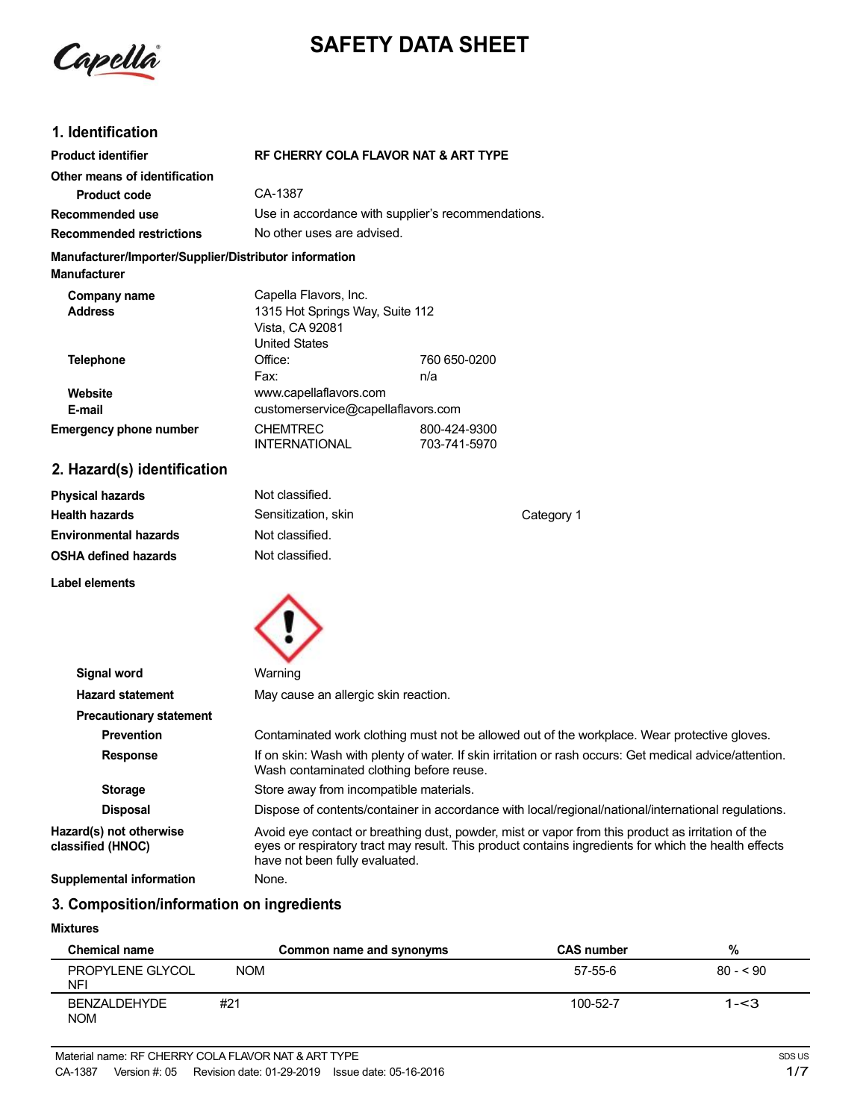

# **SAFETY DATA SHEET**

# **1. Identification**

| <b>Product identifier</b>                                                     |                                                                                                     | RF CHERRY COLA FLAVOR NAT & ART TYPE               |  |  |
|-------------------------------------------------------------------------------|-----------------------------------------------------------------------------------------------------|----------------------------------------------------|--|--|
| Other means of identification                                                 |                                                                                                     |                                                    |  |  |
| <b>Product code</b>                                                           | CA-1387                                                                                             |                                                    |  |  |
| Recommended use                                                               |                                                                                                     | Use in accordance with supplier's recommendations. |  |  |
| <b>Recommended restrictions</b>                                               |                                                                                                     | No other uses are advised.                         |  |  |
| Manufacturer/Importer/Supplier/Distributor information<br><b>Manufacturer</b> |                                                                                                     |                                                    |  |  |
| Company name<br><b>Address</b>                                                | Capella Flavors, Inc.<br>1315 Hot Springs Way, Suite 112<br>Vista, CA 92081<br><b>United States</b> |                                                    |  |  |
| <b>Telephone</b>                                                              | Office:<br>Fax:                                                                                     | 760 650-0200<br>n/a                                |  |  |
| Website<br>E-mail                                                             | www.capellaflavors.com<br>customerservice@capellaflavors.com                                        |                                                    |  |  |
| <b>Emergency phone number</b>                                                 | <b>CHEMTREC</b><br><b>INTERNATIONAL</b>                                                             | 800-424-9300<br>703-741-5970                       |  |  |
| 2. Hazard(s) identification                                                   |                                                                                                     |                                                    |  |  |

#### **Physical hazards Health hazards Environmental hazards OSHA defined hazards** Not classified. Sensitization, skin Not classified. Not classified. Category 1 **Label elements**



| Signal word                                  | Warning                                                                                                                                                                                                                                     |
|----------------------------------------------|---------------------------------------------------------------------------------------------------------------------------------------------------------------------------------------------------------------------------------------------|
| <b>Hazard statement</b>                      | May cause an allergic skin reaction.                                                                                                                                                                                                        |
| <b>Precautionary statement</b>               |                                                                                                                                                                                                                                             |
| <b>Prevention</b>                            | Contaminated work clothing must not be allowed out of the workplace. Wear protective gloves.                                                                                                                                                |
| <b>Response</b>                              | If on skin: Wash with plenty of water. If skin irritation or rash occurs: Get medical advice/attention.<br>Wash contaminated clothing before reuse.                                                                                         |
| <b>Storage</b>                               | Store away from incompatible materials.                                                                                                                                                                                                     |
| <b>Disposal</b>                              | Dispose of contents/container in accordance with local/regional/national/international regulations.                                                                                                                                         |
| Hazard(s) not otherwise<br>classified (HNOC) | Avoid eye contact or breathing dust, powder, mist or vapor from this product as irritation of the<br>eyes or respiratory tract may result. This product contains ingredients for which the health effects<br>have not been fully evaluated. |
| <b>Supplemental information</b>              | None.                                                                                                                                                                                                                                       |

# **3. Composition/information on ingredients**

#### **Mixtures**

| <b>Chemical name</b>           |            | Common name and synonyms | <b>CAS number</b> | %         |
|--------------------------------|------------|--------------------------|-------------------|-----------|
| PROPYLENE GLYCOL<br><b>NFI</b> | <b>NOM</b> |                          | 57-55-6           | $80 - 90$ |
| BENZALDEHYDE<br><b>NOM</b>     | #21        |                          | 100-52-7          | $1 - 3$   |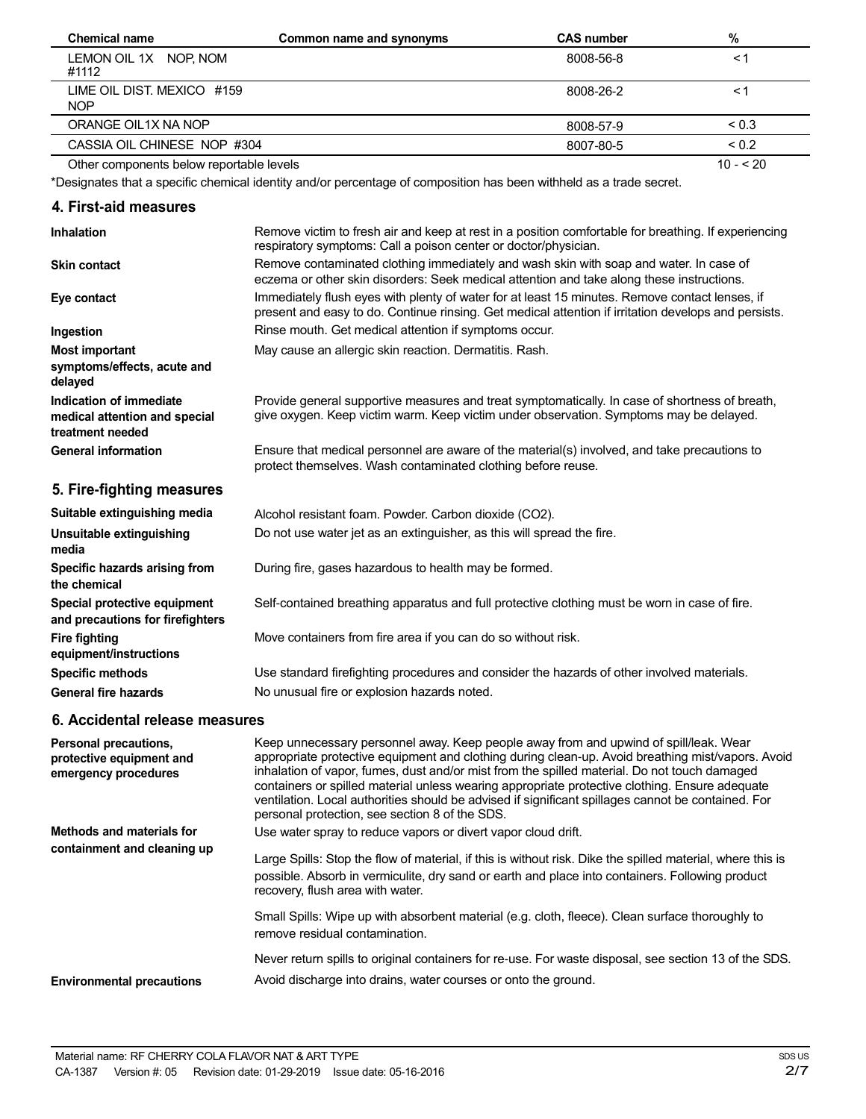| <b>Chemical name</b>                     | Common name and synonyms | <b>CAS number</b> | %          |
|------------------------------------------|--------------------------|-------------------|------------|
| LEMON OIL 1X NOP, NOM<br>#1112           |                          | 8008-56-8         | $\leq$ 1   |
| LIME OIL DIST. MEXICO #159<br><b>NOP</b> |                          | 8008-26-2         | ≺1         |
| ORANGE OIL1X NA NOP                      |                          | 8008-57-9         | ${}_{0.3}$ |
| CASSIA OIL CHINESE NOP #304              |                          | 8007-80-5         | ${}_{0.2}$ |
| Other components below reportable levels |                          |                   | $10 - 520$ |

\*Designates that a specific chemical identity and/or percentage of composition has been withheld as a trade secret.

### **4. First-aid measures**

| <b>Inhalation</b>                                                            | Remove victim to fresh air and keep at rest in a position comfortable for breathing. If experiencing<br>respiratory symptoms: Call a poison center or doctor/physician.                                |
|------------------------------------------------------------------------------|--------------------------------------------------------------------------------------------------------------------------------------------------------------------------------------------------------|
| <b>Skin contact</b>                                                          | Remove contaminated clothing immediately and wash skin with soap and water. In case of<br>eczema or other skin disorders: Seek medical attention and take along these instructions.                    |
| Eye contact                                                                  | Immediately flush eyes with plenty of water for at least 15 minutes. Remove contact lenses, if<br>present and easy to do. Continue rinsing. Get medical attention if irritation develops and persists. |
| Ingestion                                                                    | Rinse mouth. Get medical attention if symptoms occur.                                                                                                                                                  |
| <b>Most important</b><br>symptoms/effects, acute and<br>delayed              | May cause an allergic skin reaction. Dermatitis. Rash.                                                                                                                                                 |
| Indication of immediate<br>medical attention and special<br>treatment needed | Provide general supportive measures and treat symptomatically. In case of shortness of breath,<br>give oxygen. Keep victim warm. Keep victim under observation. Symptoms may be delayed.               |
| <b>General information</b>                                                   | Ensure that medical personnel are aware of the material(s) involved, and take precautions to<br>protect themselves. Wash contaminated clothing before reuse.                                           |
| 5. Fire-fighting measures                                                    |                                                                                                                                                                                                        |
| Suitable extinguishing media                                                 | Alcohol resistant foam. Powder. Carbon dioxide (CO2).                                                                                                                                                  |
| Unsuitable extinguishing<br>media                                            | Do not use water jet as an extinguisher, as this will spread the fire.                                                                                                                                 |
| Specific hazards arising from<br>the chemical                                | During fire, gases hazardous to health may be formed.                                                                                                                                                  |
| Special protective equipment<br>and precautions for firefighters             | Self-contained breathing apparatus and full protective clothing must be worn in case of fire.                                                                                                          |
| <b>Fire fighting</b><br>equipment/instructions                               | Move containers from fire area if you can do so without risk.                                                                                                                                          |
| <b>Specific methods</b>                                                      | Use standard firefighting procedures and consider the hazards of other involved materials.                                                                                                             |
| <b>General fire hazards</b>                                                  | No unusual fire or explosion hazards noted.                                                                                                                                                            |
| 6. Accidental release measures                                               |                                                                                                                                                                                                        |
| Personal precautions,<br>protective equipment and                            | Keep unnecessary personnel away. Keep people away from and upwind of spill/leak. Wear<br>appropriate protective equipment and clothing during clean-up. Avoid breathing mist/vapors. Avoid             |

| protective equipment and<br>emergency procedures | appropriate protective equipment and clothing during clean-up. Avoid breathing mist/vapors. Avoid<br>inhalation of vapor, fumes, dust and/or mist from the spilled material. Do not touch damaged<br>containers or spilled material unless wearing appropriate protective clothing. Ensure adequate<br>ventilation. Local authorities should be advised if significant spillages cannot be contained. For<br>personal protection, see section 8 of the SDS. |
|--------------------------------------------------|-------------------------------------------------------------------------------------------------------------------------------------------------------------------------------------------------------------------------------------------------------------------------------------------------------------------------------------------------------------------------------------------------------------------------------------------------------------|
| Methods and materials for                        | Use water spray to reduce vapors or divert vapor cloud drift.                                                                                                                                                                                                                                                                                                                                                                                               |
| containment and cleaning up                      | Large Spills: Stop the flow of material, if this is without risk. Dike the spilled material, where this is<br>possible. Absorb in vermiculite, dry sand or earth and place into containers. Following product<br>recovery, flush area with water.                                                                                                                                                                                                           |
|                                                  | Small Spills: Wipe up with absorbent material (e.g. cloth, fleece). Clean surface thoroughly to<br>remove residual contamination.                                                                                                                                                                                                                                                                                                                           |
| <b>Environmental precautions</b>                 | Never return spills to original containers for re-use. For waste disposal, see section 13 of the SDS.<br>Avoid discharge into drains, water courses or onto the ground.                                                                                                                                                                                                                                                                                     |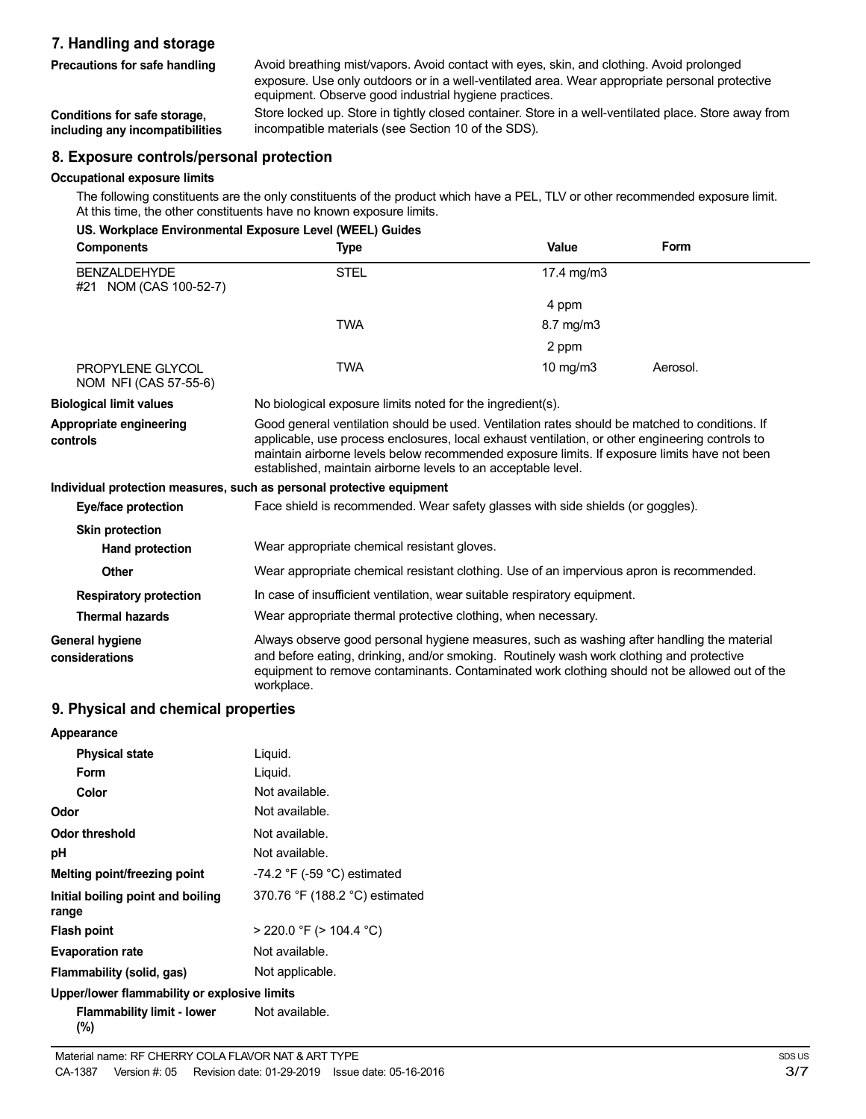# **7. Handling and storage**

**Precautions for safe handling**

Avoid breathing mist/vapors. Avoid contact with eyes, skin, and clothing. Avoid prolonged exposure. Use only outdoors or in a well-ventilated area. Wear appropriate personal protective equipment. Observe good industrial hygiene practices.

**Conditions for safe storage, including any incompatibilities** Store locked up. Store in tightly closed container. Store in a well-ventilated place. Store away from incompatible materials (see Section 10 of the SDS).

#### **8. Exposure controls/personal protection**

#### **Occupational exposure limits**

The following constituents are the only constituents of the product which have a PEL, TLV or other recommended exposure limit. At this time, the other constituents have no known exposure limits.

|                                                | US. Workplace Environmental Exposure Level (WEEL) Guides                                                                                                                                                                                                                                                                                                           |                   |          |
|------------------------------------------------|--------------------------------------------------------------------------------------------------------------------------------------------------------------------------------------------------------------------------------------------------------------------------------------------------------------------------------------------------------------------|-------------------|----------|
| <b>Components</b>                              | <b>Type</b>                                                                                                                                                                                                                                                                                                                                                        | Value             | Form     |
| <b>BENZAI DEHYDE</b><br>#21 NOM (CAS 100-52-7) | <b>STEL</b>                                                                                                                                                                                                                                                                                                                                                        | 17.4 mg/m3        |          |
|                                                |                                                                                                                                                                                                                                                                                                                                                                    | 4 ppm             |          |
|                                                | <b>TWA</b>                                                                                                                                                                                                                                                                                                                                                         | 8.7 mg/m3         |          |
|                                                |                                                                                                                                                                                                                                                                                                                                                                    | 2 ppm             |          |
| PROPYLENE GLYCOL<br>NOM NFI (CAS 57-55-6)      | <b>TWA</b>                                                                                                                                                                                                                                                                                                                                                         | $10 \text{ mg/m}$ | Aerosol. |
| <b>Biological limit values</b>                 | No biological exposure limits noted for the ingredient(s).                                                                                                                                                                                                                                                                                                         |                   |          |
| Appropriate engineering<br>controls            | Good general ventilation should be used. Ventilation rates should be matched to conditions. If<br>applicable, use process enclosures, local exhaust ventilation, or other engineering controls to<br>maintain airborne levels below recommended exposure limits. If exposure limits have not been<br>established, maintain airborne levels to an acceptable level. |                   |          |
|                                                | Individual protection measures, such as personal protective equipment                                                                                                                                                                                                                                                                                              |                   |          |
| Eye/face protection                            | Face shield is recommended. Wear safety glasses with side shields (or goggles).                                                                                                                                                                                                                                                                                    |                   |          |
| <b>Skin protection</b>                         |                                                                                                                                                                                                                                                                                                                                                                    |                   |          |
| Hand protection                                | Wear appropriate chemical resistant gloves.                                                                                                                                                                                                                                                                                                                        |                   |          |
| <b>Other</b>                                   | Wear appropriate chemical resistant clothing. Use of an impervious apron is recommended.                                                                                                                                                                                                                                                                           |                   |          |
| <b>Respiratory protection</b>                  | In case of insufficient ventilation, wear suitable respiratory equipment.                                                                                                                                                                                                                                                                                          |                   |          |
| <b>Thermal hazards</b>                         | Wear appropriate thermal protective clothing, when necessary.                                                                                                                                                                                                                                                                                                      |                   |          |
| <b>General hygiene</b><br>considerations       | Always observe good personal hygiene measures, such as washing after handling the material<br>and before eating, drinking, and/or smoking. Routinely wash work clothing and protective<br>equipment to remove contaminants. Contaminated work clothing should not be allowed out of the<br>workplace.                                                              |                   |          |

#### **9. Physical and chemical properties**

| Appearance                                                 |                                  |  |  |
|------------------------------------------------------------|----------------------------------|--|--|
| <b>Physical state</b>                                      | Liquid.                          |  |  |
| Form                                                       | Liquid.                          |  |  |
| Color                                                      | Not available.                   |  |  |
| Odor                                                       | Not available.                   |  |  |
| <b>Odor threshold</b>                                      | Not available.                   |  |  |
| рH                                                         | Not available.                   |  |  |
| Melting point/freezing point                               | $-74.2$ °F ( $-59$ °C) estimated |  |  |
| Initial boiling point and boiling<br>range                 | 370.76 °F (188.2 °C) estimated   |  |  |
| <b>Flash point</b>                                         | $>$ 220.0 °F ( $>$ 104.4 °C)     |  |  |
| <b>Evaporation rate</b>                                    | Not available.                   |  |  |
| Flammability (solid, gas)                                  | Not applicable.                  |  |  |
| Upper/lower flammability or explosive limits               |                                  |  |  |
| <b>Flammability limit - lower</b> Not available.<br>$(\%)$ |                                  |  |  |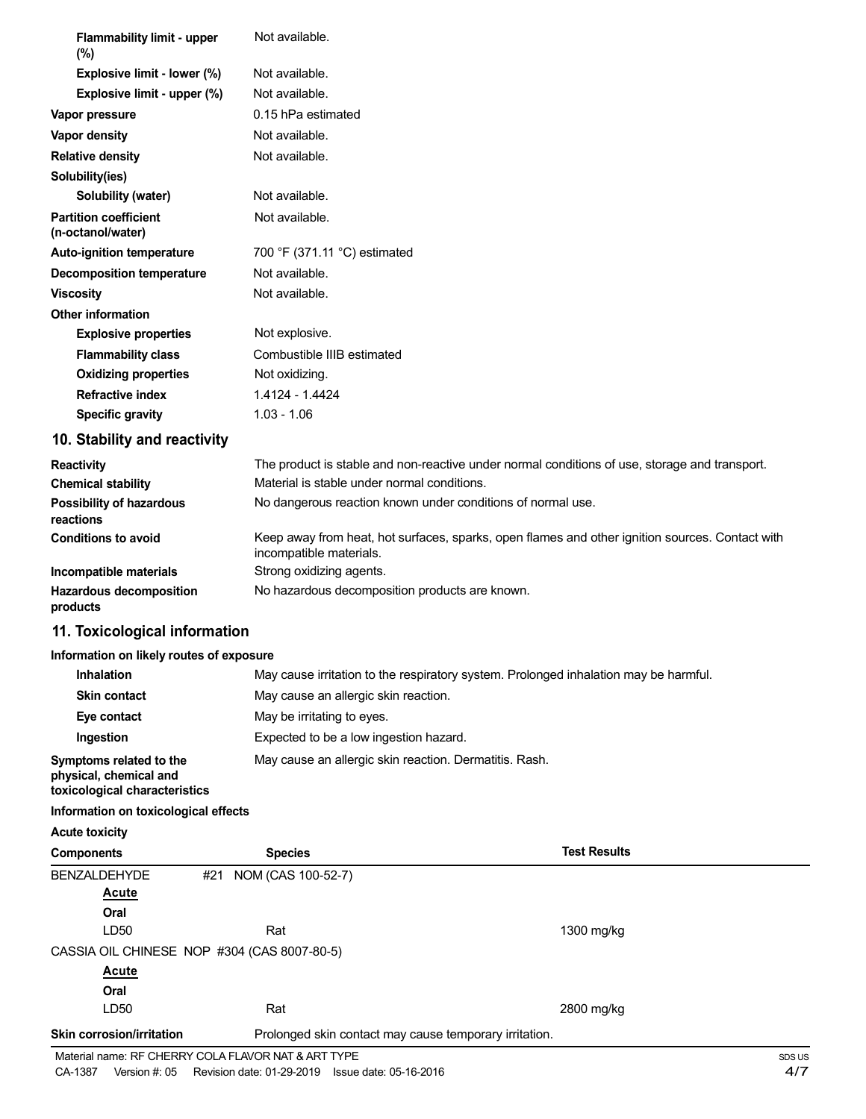| <b>Flammability limit - upper</b>                                                  | Not available.                                                                                                             |  |
|------------------------------------------------------------------------------------|----------------------------------------------------------------------------------------------------------------------------|--|
| (%)                                                                                | Not available.                                                                                                             |  |
| Explosive limit - lower (%)<br>Explosive limit - upper (%)                         | Not available.                                                                                                             |  |
|                                                                                    | 0.15 hPa estimated                                                                                                         |  |
| Vapor pressure                                                                     | Not available.                                                                                                             |  |
| Vapor density                                                                      | Not available.                                                                                                             |  |
| <b>Relative density</b>                                                            |                                                                                                                            |  |
| Solubility(ies)<br>Solubility (water)                                              | Not available.                                                                                                             |  |
| <b>Partition coefficient</b>                                                       | Not available.                                                                                                             |  |
| (n-octanol/water)                                                                  |                                                                                                                            |  |
| <b>Auto-ignition temperature</b>                                                   | 700 °F (371.11 °C) estimated                                                                                               |  |
| <b>Decomposition temperature</b>                                                   | Not available.                                                                                                             |  |
| <b>Viscosity</b>                                                                   | Not available.                                                                                                             |  |
| <b>Other information</b>                                                           |                                                                                                                            |  |
| <b>Explosive properties</b>                                                        | Not explosive.                                                                                                             |  |
| <b>Flammability class</b>                                                          | Combustible IIIB estimated                                                                                                 |  |
| <b>Oxidizing properties</b>                                                        | Not oxidizing.                                                                                                             |  |
| <b>Refractive index</b>                                                            | 1.4124 - 1.4424                                                                                                            |  |
| <b>Specific gravity</b>                                                            | $1.03 - 1.06$                                                                                                              |  |
| 10. Stability and reactivity                                                       |                                                                                                                            |  |
| <b>Reactivity</b>                                                                  | The product is stable and non-reactive under normal conditions of use, storage and transport.                              |  |
| <b>Chemical stability</b>                                                          | Material is stable under normal conditions.                                                                                |  |
| <b>Possibility of hazardous</b><br>reactions                                       | No dangerous reaction known under conditions of normal use.                                                                |  |
| <b>Conditions to avoid</b>                                                         | Keep away from heat, hot surfaces, sparks, open flames and other ignition sources. Contact with<br>incompatible materials. |  |
| Incompatible materials                                                             | Strong oxidizing agents.                                                                                                   |  |
| <b>Hazardous decomposition</b><br>products                                         | No hazardous decomposition products are known.                                                                             |  |
| 11. Toxicological information                                                      |                                                                                                                            |  |
| Information on likely routes of exposure                                           |                                                                                                                            |  |
| <b>Inhalation</b>                                                                  | May cause irritation to the respiratory system. Prolonged inhalation may be harmful.                                       |  |
| <b>Skin contact</b>                                                                | May cause an allergic skin reaction.                                                                                       |  |
| Eye contact                                                                        | May be irritating to eyes.                                                                                                 |  |
| Ingestion                                                                          | Expected to be a low ingestion hazard.                                                                                     |  |
| Symptoms related to the<br>physical, chemical and<br>toxicological characteristics | May cause an allergic skin reaction. Dermatitis. Rash.                                                                     |  |
| Information on toxicological effects                                               |                                                                                                                            |  |
| <b>Acute toxicity</b>                                                              |                                                                                                                            |  |
| <b>Components</b>                                                                  | <b>Test Results</b><br><b>Species</b>                                                                                      |  |
| <b>BENZALDEHYDE</b>                                                                | NOM (CAS 100-52-7)<br>#21                                                                                                  |  |

| <b>BENZALDEHYDE</b>              | NOM (CAS 100-52-7)<br>#21                              |            |
|----------------------------------|--------------------------------------------------------|------------|
| <b>Acute</b>                     |                                                        |            |
| Oral                             |                                                        |            |
| LD50                             | Rat                                                    | 1300 mg/kg |
|                                  | CASSIA OIL CHINESE NOP #304 (CAS 8007-80-5)            |            |
| <b>Acute</b>                     |                                                        |            |
| Oral                             |                                                        |            |
| LD <sub>50</sub>                 | Rat                                                    | 2800 mg/kg |
| <b>Skin corrosion/irritation</b> | Prolonged skin contact may cause temporary irritation. |            |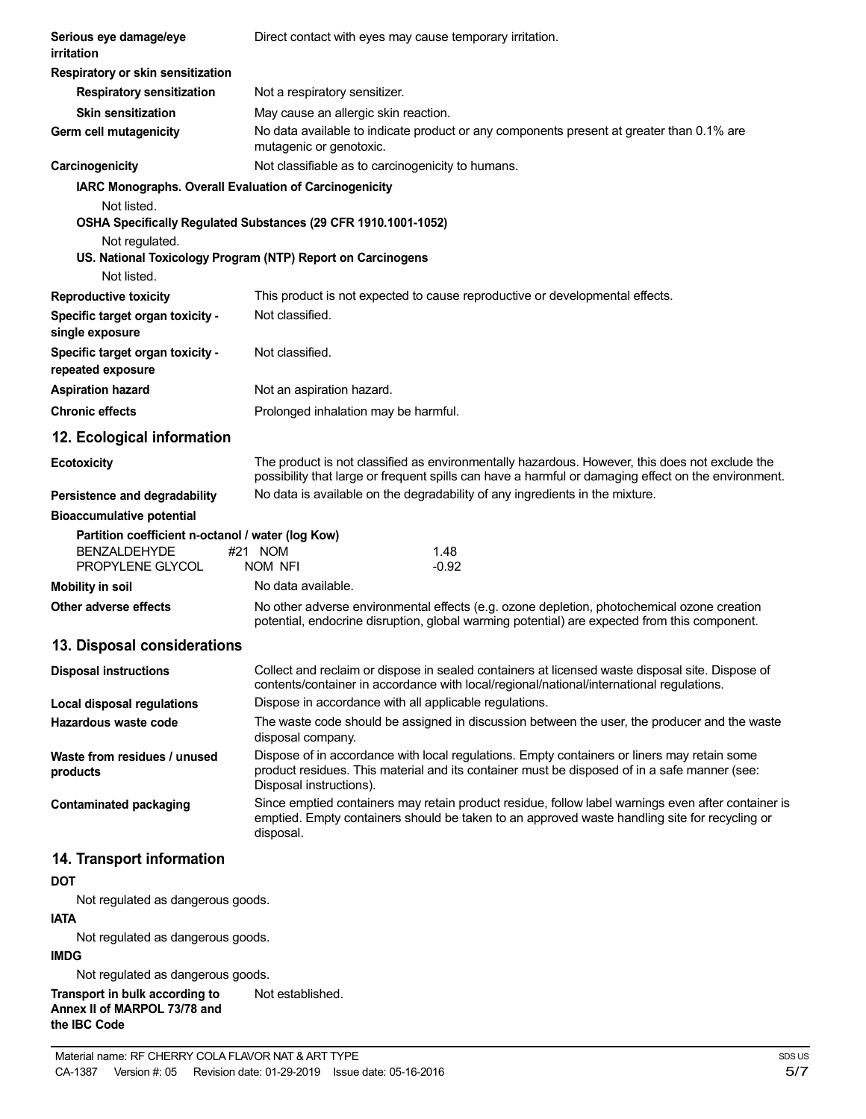| Serious eye damage/eye<br>irritation                   | Direct contact with eyes may cause temporary irritation.                                                                                                                                                               |
|--------------------------------------------------------|------------------------------------------------------------------------------------------------------------------------------------------------------------------------------------------------------------------------|
| Respiratory or skin sensitization                      |                                                                                                                                                                                                                        |
| <b>Respiratory sensitization</b>                       | Not a respiratory sensitizer.                                                                                                                                                                                          |
| <b>Skin sensitization</b>                              | May cause an allergic skin reaction.                                                                                                                                                                                   |
| Germ cell mutagenicity                                 | No data available to indicate product or any components present at greater than 0.1% are<br>mutagenic or genotoxic.                                                                                                    |
| Carcinogenicity                                        | Not classifiable as to carcinogenicity to humans.                                                                                                                                                                      |
| IARC Monographs. Overall Evaluation of Carcinogenicity |                                                                                                                                                                                                                        |
| Not listed.                                            |                                                                                                                                                                                                                        |
|                                                        | OSHA Specifically Regulated Substances (29 CFR 1910.1001-1052)                                                                                                                                                         |
| Not regulated.                                         |                                                                                                                                                                                                                        |
| Not listed.                                            | US. National Toxicology Program (NTP) Report on Carcinogens                                                                                                                                                            |
|                                                        | This product is not expected to cause reproductive or developmental effects.                                                                                                                                           |
| <b>Reproductive toxicity</b>                           | Not classified.                                                                                                                                                                                                        |
| Specific target organ toxicity -<br>single exposure    |                                                                                                                                                                                                                        |
| Specific target organ toxicity -<br>repeated exposure  | Not classified.                                                                                                                                                                                                        |
| <b>Aspiration hazard</b>                               | Not an aspiration hazard.                                                                                                                                                                                              |
| <b>Chronic effects</b>                                 | Prolonged inhalation may be harmful.                                                                                                                                                                                   |
| 12. Ecological information                             |                                                                                                                                                                                                                        |
| <b>Ecotoxicity</b>                                     | The product is not classified as environmentally hazardous. However, this does not exclude the<br>possibility that large or frequent spills can have a harmful or damaging effect on the environment.                  |
| Persistence and degradability                          | No data is available on the degradability of any ingredients in the mixture.                                                                                                                                           |
| <b>Bioaccumulative potential</b>                       |                                                                                                                                                                                                                        |
| Partition coefficient n-octanol / water (log Kow)      |                                                                                                                                                                                                                        |
| <b>BENZALDEHYDE</b>                                    | #21 NOM<br>1.48                                                                                                                                                                                                        |
| PROPYLENE GLYCOL                                       | NOM NFI<br>-0.92                                                                                                                                                                                                       |
| <b>Mobility in soil</b>                                | No data available.                                                                                                                                                                                                     |
| Other adverse effects                                  | No other adverse environmental effects (e.g. ozone depletion, photochemical ozone creation<br>potential, endocrine disruption, global warming potential) are expected from this component.                             |
| 13. Disposal considerations                            |                                                                                                                                                                                                                        |
| <b>Disposal instructions</b>                           | Collect and reclaim or dispose in sealed containers at licensed waste disposal site. Dispose of<br>contents/container in accordance with local/regional/national/international regulations.                            |
| <b>Local disposal regulations</b>                      | Dispose in accordance with all applicable regulations.                                                                                                                                                                 |
| Hazardous waste code                                   | The waste code should be assigned in discussion between the user, the producer and the waste<br>disposal company.                                                                                                      |
| Waste from residues / unused<br>products               | Dispose of in accordance with local regulations. Empty containers or liners may retain some<br>product residues. This material and its container must be disposed of in a safe manner (see:<br>Disposal instructions). |
| <b>Contaminated packaging</b>                          | Since emptied containers may retain product residue, follow label warnings even after container is<br>emptied. Empty containers should be taken to an approved waste handling site for recycling or<br>disposal.       |
| 14. Transport information                              |                                                                                                                                                                                                                        |
| <b>DOT</b>                                             |                                                                                                                                                                                                                        |
| Not regulated as dangerous goods.                      |                                                                                                                                                                                                                        |
| <b>IATA</b>                                            |                                                                                                                                                                                                                        |

Not regulated as dangerous goods.

#### **IMDG**

Not regulated as dangerous goods.

**Transport in bulk according to Annex II of MARPOL 73/78 and the IBC Code** Not established.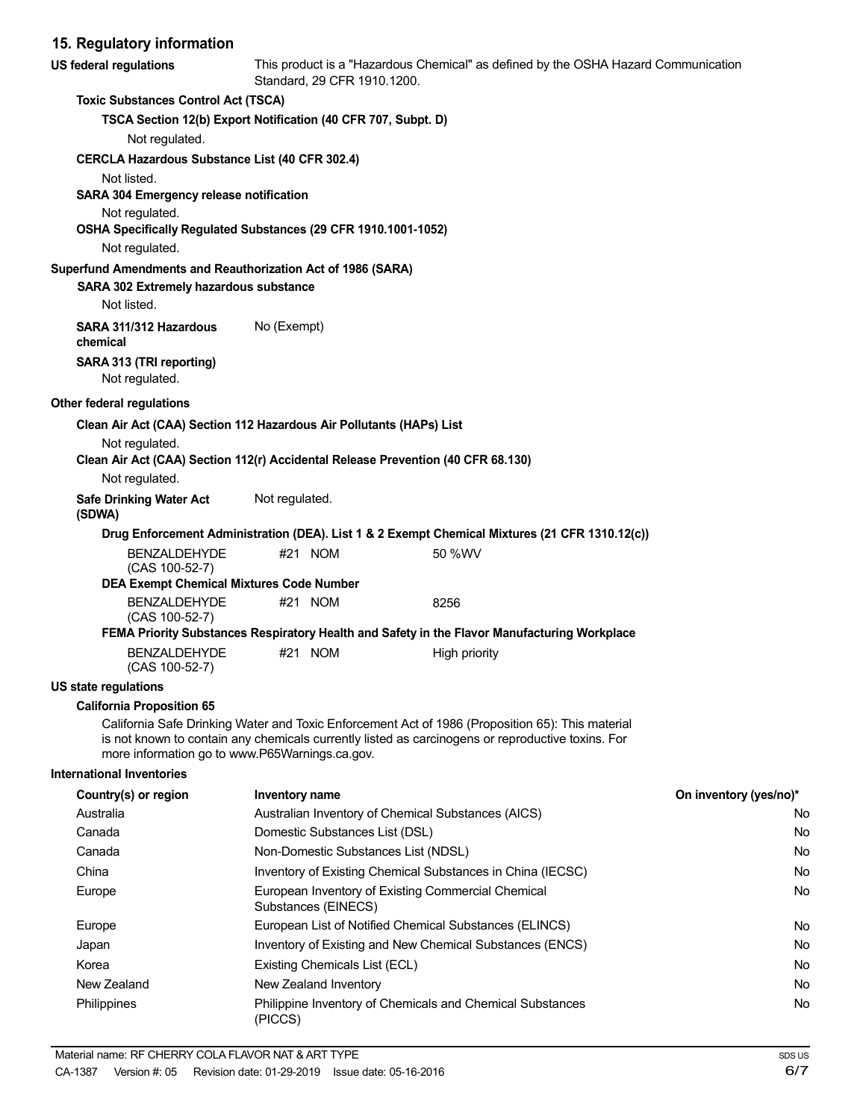# **15. Regulatory information**

| <b>US federal regulations</b>                                                    |                | Standard, 29 CFR 1910.1200.                                               | This product is a "Hazardous Chemical" as defined by the OSHA Hazard Communication                                                                                                                    |                        |
|----------------------------------------------------------------------------------|----------------|---------------------------------------------------------------------------|-------------------------------------------------------------------------------------------------------------------------------------------------------------------------------------------------------|------------------------|
| <b>Toxic Substances Control Act (TSCA)</b>                                       |                |                                                                           |                                                                                                                                                                                                       |                        |
| TSCA Section 12(b) Export Notification (40 CFR 707, Subpt. D)                    |                |                                                                           |                                                                                                                                                                                                       |                        |
| Not regulated.                                                                   |                |                                                                           |                                                                                                                                                                                                       |                        |
| CERCLA Hazardous Substance List (40 CFR 302.4)                                   |                |                                                                           |                                                                                                                                                                                                       |                        |
| Not listed.                                                                      |                |                                                                           |                                                                                                                                                                                                       |                        |
| SARA 304 Emergency release notification                                          |                |                                                                           |                                                                                                                                                                                                       |                        |
| Not regulated.                                                                   |                |                                                                           |                                                                                                                                                                                                       |                        |
| OSHA Specifically Regulated Substances (29 CFR 1910.1001-1052)                   |                |                                                                           |                                                                                                                                                                                                       |                        |
| Not regulated.                                                                   |                |                                                                           |                                                                                                                                                                                                       |                        |
| Superfund Amendments and Reauthorization Act of 1986 (SARA)                      |                |                                                                           |                                                                                                                                                                                                       |                        |
| SARA 302 Extremely hazardous substance<br>Not listed.                            |                |                                                                           |                                                                                                                                                                                                       |                        |
| SARA 311/312 Hazardous                                                           | No (Exempt)    |                                                                           |                                                                                                                                                                                                       |                        |
| chemical                                                                         |                |                                                                           |                                                                                                                                                                                                       |                        |
| SARA 313 (TRI reporting)                                                         |                |                                                                           |                                                                                                                                                                                                       |                        |
| Not regulated.                                                                   |                |                                                                           |                                                                                                                                                                                                       |                        |
| Other federal regulations                                                        |                |                                                                           |                                                                                                                                                                                                       |                        |
| Clean Air Act (CAA) Section 112 Hazardous Air Pollutants (HAPs) List             |                |                                                                           |                                                                                                                                                                                                       |                        |
| Not regulated.                                                                   |                |                                                                           |                                                                                                                                                                                                       |                        |
| Clean Air Act (CAA) Section 112(r) Accidental Release Prevention (40 CFR 68.130) |                |                                                                           |                                                                                                                                                                                                       |                        |
| Not regulated.                                                                   |                |                                                                           |                                                                                                                                                                                                       |                        |
| <b>Safe Drinking Water Act</b><br>(SDWA)                                         | Not regulated. |                                                                           |                                                                                                                                                                                                       |                        |
|                                                                                  |                |                                                                           | Drug Enforcement Administration (DEA). List 1 & 2 Exempt Chemical Mixtures (21 CFR 1310.12(c))                                                                                                        |                        |
| <b>BENZALDEHYDE</b><br>(CAS 100-52-7)                                            |                | #21 NOM                                                                   | 50 %WV                                                                                                                                                                                                |                        |
| <b>DEA Exempt Chemical Mixtures Code Number</b>                                  |                |                                                                           |                                                                                                                                                                                                       |                        |
| <b>BENZALDEHYDE</b><br>(CAS 100-52-7)                                            |                | #21 NOM                                                                   | 8256                                                                                                                                                                                                  |                        |
|                                                                                  |                |                                                                           | FEMA Priority Substances Respiratory Health and Safety in the Flavor Manufacturing Workplace                                                                                                          |                        |
| <b>BENZALDEHYDE</b><br>(CAS 100-52-7)                                            |                | #21 NOM                                                                   | High priority                                                                                                                                                                                         |                        |
| <b>US state regulations</b>                                                      |                |                                                                           |                                                                                                                                                                                                       |                        |
| <b>California Proposition 65</b>                                                 |                |                                                                           |                                                                                                                                                                                                       |                        |
| more information go to www.P65Warnings.ca.gov.                                   |                |                                                                           | California Safe Drinking Water and Toxic Enforcement Act of 1986 (Proposition 65): This material<br>is not known to contain any chemicals currently listed as carcinogens or reproductive toxins. For |                        |
| <b>International Inventories</b>                                                 |                |                                                                           |                                                                                                                                                                                                       |                        |
| Country(s) or region                                                             | Inventory name |                                                                           |                                                                                                                                                                                                       | On inventory (yes/no)* |
| Australia                                                                        |                | Australian Inventory of Chemical Substances (AICS)                        |                                                                                                                                                                                                       | No                     |
| Canada                                                                           |                | Domestic Substances List (DSL)                                            |                                                                                                                                                                                                       | No                     |
| Canada                                                                           |                | Non-Domestic Substances List (NDSL)                                       |                                                                                                                                                                                                       | No                     |
| China                                                                            |                |                                                                           | Inventory of Existing Chemical Substances in China (IECSC)                                                                                                                                            | No                     |
| Europe                                                                           |                | European Inventory of Existing Commercial Chemical<br>Substances (EINECS) |                                                                                                                                                                                                       | No                     |
| Europe                                                                           |                |                                                                           | European List of Notified Chemical Substances (ELINCS)                                                                                                                                                | No                     |
| Japan                                                                            |                |                                                                           | Inventory of Existing and New Chemical Substances (ENCS)                                                                                                                                              | No                     |
| Korea                                                                            |                | Existing Chemicals List (ECL)                                             |                                                                                                                                                                                                       | No                     |
| New Zealand                                                                      |                | New Zealand Inventory                                                     |                                                                                                                                                                                                       | No                     |
| Philippines                                                                      | (PICCS)        |                                                                           | Philippine Inventory of Chemicals and Chemical Substances                                                                                                                                             | No                     |